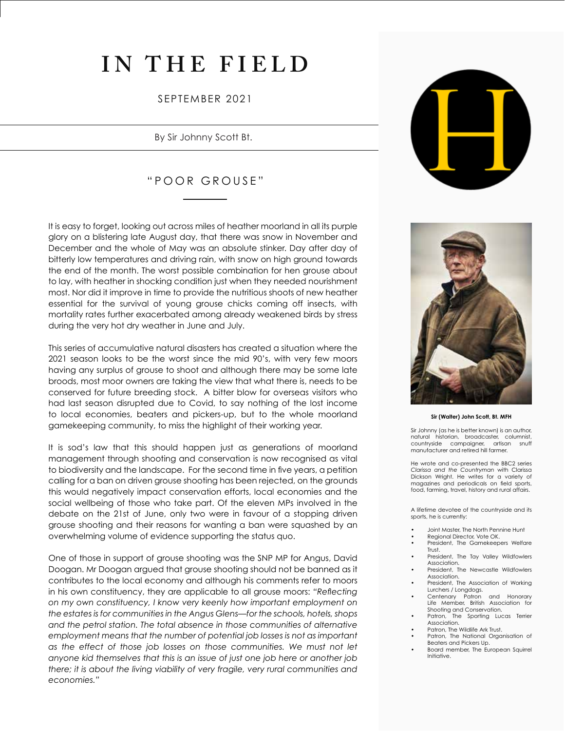## **IN THE FIELD**

### SEPTEMBER 2021

By Sir Johnny Scott Bt.

## "POOR GROUSE"

It is easy to forget, looking out across miles of heather moorland in all its purple glory on a blistering late August day, that there was snow in November and December and the whole of May was an absolute stinker. Day after day of bitterly low temperatures and driving rain, with snow on high ground towards the end of the month. The worst possible combination for hen grouse about to lay, with heather in shocking condition just when they needed nourishment most. Nor did it improve in time to provide the nutritious shoots of new heather essential for the survival of young grouse chicks coming off insects, with mortality rates further exacerbated among already weakened birds by stress during the very hot dry weather in June and July.

This series of accumulative natural disasters has created a situation where the 2021 season looks to be the worst since the mid 90's, with very few moors having any surplus of grouse to shoot and although there may be some late broods, most moor owners are taking the view that what there is, needs to be conserved for future breeding stock. A bitter blow for overseas visitors who had last season disrupted due to Covid, to say nothing of the lost income to local economies, beaters and pickers-up, but to the whole moorland gamekeeping community, to miss the highlight of their working year.

It is sod's law that this should happen just as generations of moorland management through shooting and conservation is now recognised as vital to biodiversity and the landscape. For the second time in five years, a petition calling for a ban on driven grouse shooting has been rejected, on the grounds this would negatively impact conservation efforts, local economies and the social wellbeing of those who take part. Of the eleven MPs involved in the debate on the 21st of June, only two were in favour of a stopping driven grouse shooting and their reasons for wanting a ban were squashed by an overwhelming volume of evidence supporting the status quo.

One of those in support of grouse shooting was the SNP MP for Angus, David Doogan. Mr Doogan argued that grouse shooting should not be banned as it contributes to the local economy and although his comments refer to moors in his own constituency, they are applicable to all grouse moors: *"Reflecting on my own constituency, I know very keenly how important employment on the estates is for communities in the Angus Glens—for the schools, hotels, shops and the petrol station. The total absence in those communities of alternative employment means that the number of potential job losses is not as important as the effect of those job losses on those communities. We must not let anyone kid themselves that this is an issue of just one job here or another job there; it is about the living viability of very fragile, very rural communities and economies."*





**Sir (Walter) John Scott, Bt. MFH**

Sir Johnny (as he is better known) is an author, natural historian, broadcaster, columnist, countryside campaigner, manufacturer and retired hill farmer.

He wrote and co-presented the BBC2 series *Clarissa and the Countryman* with Clarissa Dickson Wright. He writes for a variety of magazines and periodicals on field sports, food, farming, travel, history and rural affairs.

A lifetime devotee of the countryside and its sports, he is currently:

- Joint Master, The North Pennine Hunt
- Regional Director, Vote OK.
- President, The Gamekeepers Welfare Trust.
- President, The Tay Valley Wildfowlers Association.
- President, The Newcastle Wildfowlers Association. • President, The Association of Working
- Lurchers / Longdogs.
- Centenary Patron and Honorary Life Member, British Association for Shooting and Conservation.<br>Patron, The Sporting Lux
- The Sporting Lucas Terrier Association.
- Patron, The Wildlife Ark Trust. Patron, The National Organisation of

Initiative.

Beaters and Pickers Up. • Board member, The European Squirrel